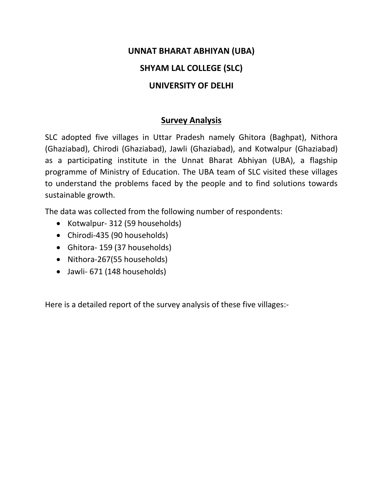# **UNNAT BHARAT ABHIYAN (UBA)**

# **SHYAM LAL COLLEGE (SLC)**

# **UNIVERSITY OF DELHI**

# **Survey Analysis**

SLC adopted five villages in Uttar Pradesh namely Ghitora (Baghpat), Nithora (Ghaziabad), Chirodi (Ghaziabad), Jawli (Ghaziabad), and Kotwalpur (Ghaziabad) as a participating institute in the Unnat Bharat Abhiyan (UBA), a flagship programme of Ministry of Education. The UBA team of SLC visited these villages to understand the problems faced by the people and to find solutions towards sustainable growth.

The data was collected from the following number of respondents:

- Kotwalpur- 312 (59 households)
- Chirodi-435 (90 households)
- Ghitora- 159 (37 households)
- Nithora-267(55 households)
- Jawli- 671 (148 households)

Here is a detailed report of the survey analysis of these five villages:-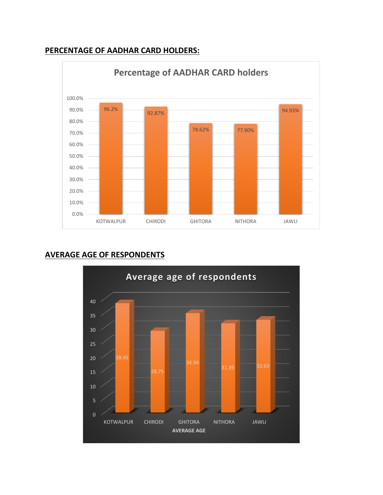#### **PERCENTAGE OF AADHAR CARD HOLDERS:**



## **AVERAGE AGE OF RESPONDENTS**

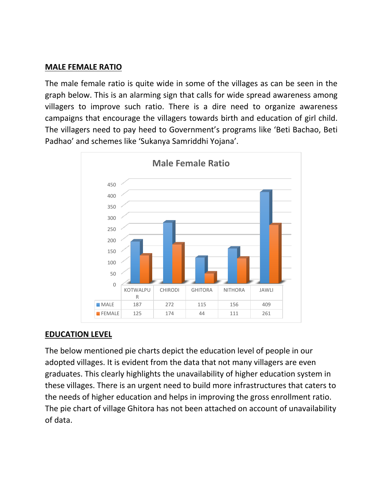## **MALE FEMALE RATIO**

The male female ratio is quite wide in some of the villages as can be seen in the graph below. This is an alarming sign that calls for wide spread awareness among villagers to improve such ratio. There is a dire need to organize awareness campaigns that encourage the villagers towards birth and education of girl child. The villagers need to pay heed to Government's programs like 'Beti Bachao, Beti Padhao' and schemes like 'Sukanya Samriddhi Yojana'.



# **EDUCATION LEVEL**

The below mentioned pie charts depict the education level of people in our adopted villages. It is evident from the data that not many villagers are even graduates. This clearly highlights the unavailability of higher education system in these villages. There is an urgent need to build more infrastructures that caters to the needs of higher education and helps in improving the gross enrollment ratio. The pie chart of village Ghitora has not been attached on account of unavailability of data.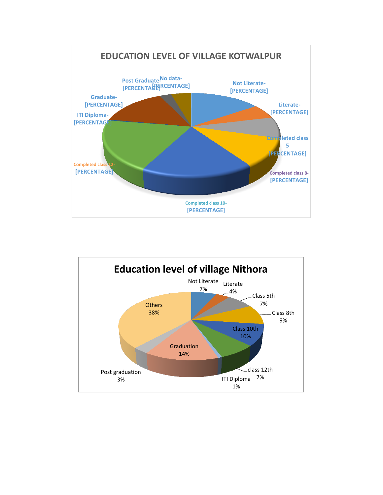

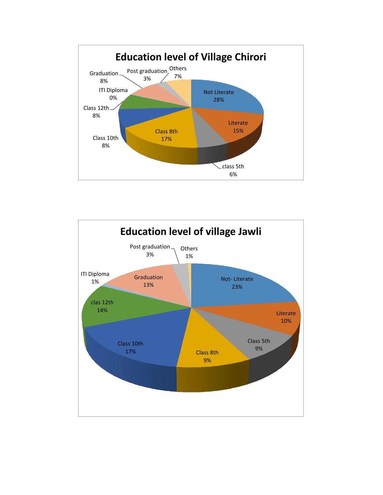

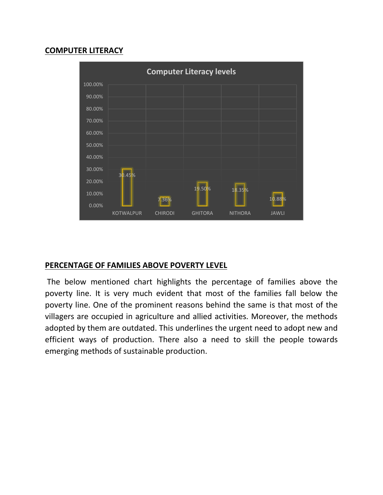## **COMPUTER LITERACY**



## **PERCENTAGE OF FAMILIES ABOVE POVERTY LEVEL**

The below mentioned chart highlights the percentage of families above the poverty line. It is very much evident that most of the families fall below the poverty line. One of the prominent reasons behind the same is that most of the villagers are occupied in agriculture and allied activities. Moreover, the methods adopted by them are outdated. This underlines the urgent need to adopt new and efficient ways of production. There also a need to skill the people towards emerging methods of sustainable production.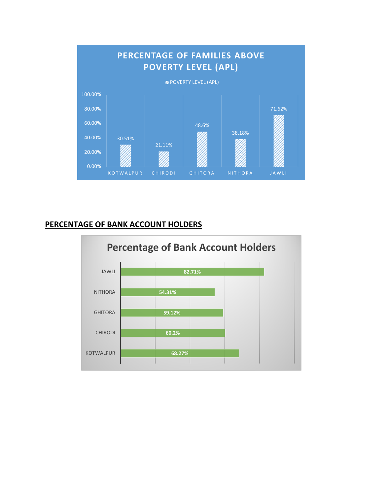

## **PERCENTAGE OF BANK ACCOUNT HOLDERS**

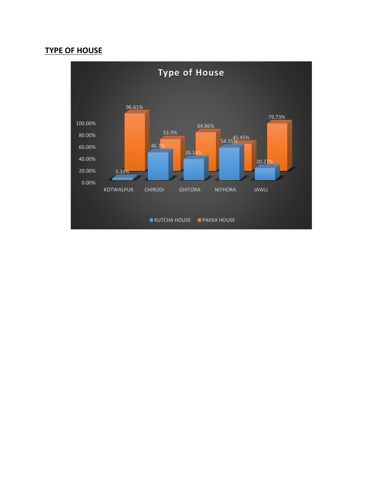#### **TYPE OF HOUSE**

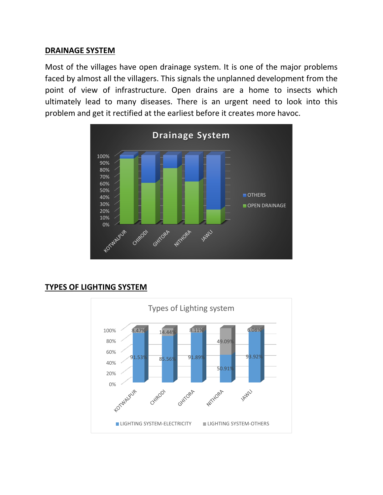#### **DRAINAGE SYSTEM**

Most of the villages have open drainage system. It is one of the major problems faced by almost all the villagers. This signals the unplanned development from the point of view of infrastructure. Open drains are a home to insects which ultimately lead to many diseases. There is an urgent need to look into this problem and get it rectified at the earliest before it creates more havoc.



## **TYPES OF LIGHTING SYSTEM**

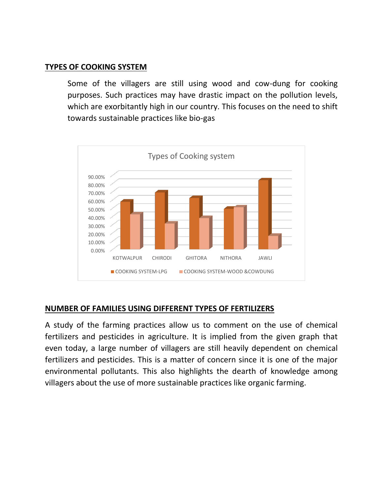#### **TYPES OF COOKING SYSTEM**

Some of the villagers are still using wood and cow-dung for cooking purposes. Such practices may have drastic impact on the pollution levels, which are exorbitantly high in our country. This focuses on the need to shift towards sustainable practices like bio-gas



## **NUMBER OF FAMILIES USING DIFFERENT TYPES OF FERTILIZERS**

A study of the farming practices allow us to comment on the use of chemical fertilizers and pesticides in agriculture. It is implied from the given graph that even today, a large number of villagers are still heavily dependent on chemical fertilizers and pesticides. This is a matter of concern since it is one of the major environmental pollutants. This also highlights the dearth of knowledge among villagers about the use of more sustainable practices like organic farming.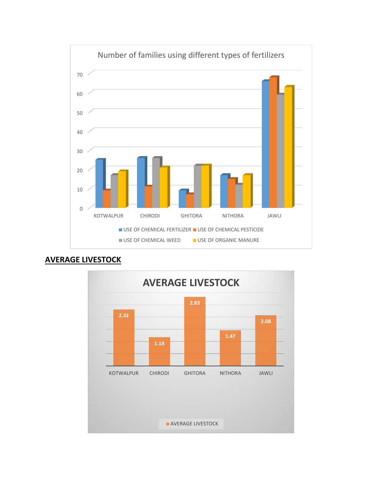



# **AVERAGE LIVESTOCK**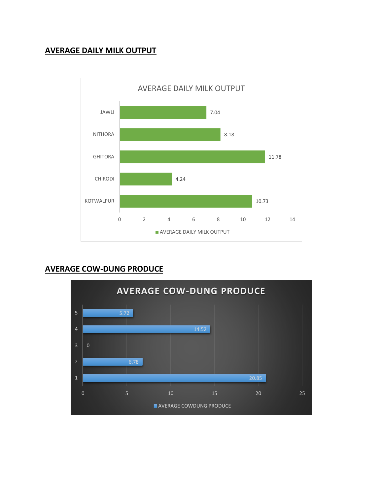# **AVERAGE DAILY MILK OUTPUT**



# **AVERAGE COW-DUNG PRODUCE**

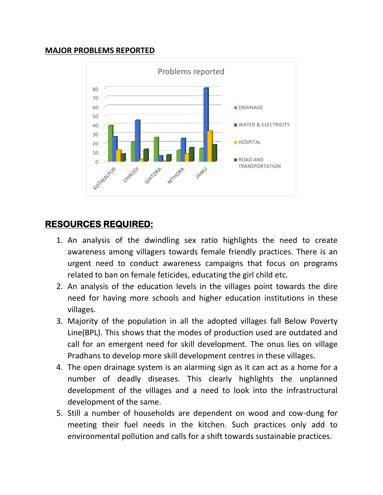## **MAJOR PROBLEMS REPORTED**



# **RESOURCES REQUIRED:**

- 1. An analysis of the dwindling sex ratio highlights the need to create awareness among villagers towards female friendly practices. There is an urgent need to conduct awareness campaigns that focus on programs related to ban on female feticides, educating the girl child etc.
- 2. An analysis of the education levels in the villages point towards the dire need for having more schools and higher education institutions in these villages.
- 3. Majority of the population in all the adopted villages fall Below Poverty Line(BPL). This shows that the modes of production used are outdated and call for an emergent need for skill development. The onus lies on village Pradhans to develop more skill development centres in these villages.
- 4. The open drainage system is an alarming sign as it can act as a home for a number of deadly diseases. This clearly highlights the unplanned development of the villages and a need to look into the infrastructural development of the same.
- 5. Still a number of households are dependent on wood and cow-dung for meeting their fuel needs in the kitchen. Such practices only add to environmental pollution and calls for a shift towards sustainable practices.